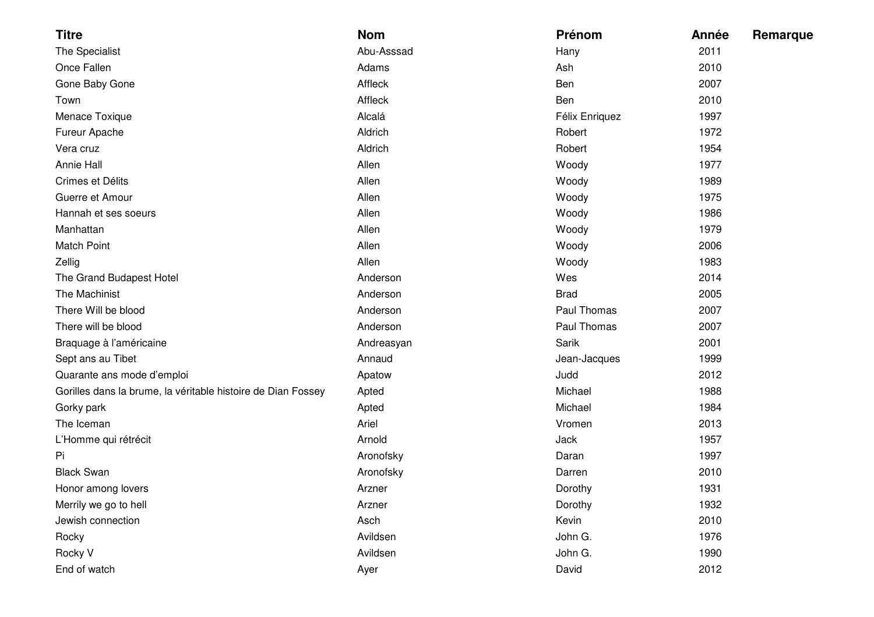| <b>Titre</b>                                                 | <b>Nom</b> | Prénom         | Année | Remarque |
|--------------------------------------------------------------|------------|----------------|-------|----------|
| The Specialist                                               | Abu-Asssad | Hany           | 2011  |          |
| Once Fallen                                                  | Adams      | Ash            | 2010  |          |
| Gone Baby Gone                                               | Affleck    | Ben            | 2007  |          |
| Town                                                         | Affleck    | Ben            | 2010  |          |
| Menace Toxique                                               | Alcalá     | Félix Enriquez | 1997  |          |
| Fureur Apache                                                | Aldrich    | Robert         | 1972  |          |
| Vera cruz                                                    | Aldrich    | Robert         | 1954  |          |
| Annie Hall                                                   | Allen      | Woody          | 1977  |          |
| Crimes et Délits                                             | Allen      | Woody          | 1989  |          |
| Guerre et Amour                                              | Allen      | Woody          | 1975  |          |
| Hannah et ses soeurs                                         | Allen      | Woody          | 1986  |          |
| Manhattan                                                    | Allen      | Woody          | 1979  |          |
| <b>Match Point</b>                                           | Allen      | Woody          | 2006  |          |
| Zellig                                                       | Allen      | Woody          | 1983  |          |
| The Grand Budapest Hotel                                     | Anderson   | Wes            | 2014  |          |
| The Machinist                                                | Anderson   | <b>Brad</b>    | 2005  |          |
| There Will be blood                                          | Anderson   | Paul Thomas    | 2007  |          |
| There will be blood                                          | Anderson   | Paul Thomas    | 2007  |          |
| Braquage à l'américaine                                      | Andreasyan | Sarik          | 2001  |          |
| Sept ans au Tibet                                            | Annaud     | Jean-Jacques   | 1999  |          |
| Quarante ans mode d'emploi                                   | Apatow     | Judd           | 2012  |          |
| Gorilles dans la brume, la véritable histoire de Dian Fossey | Apted      | Michael        | 1988  |          |
| Gorky park                                                   | Apted      | Michael        | 1984  |          |
| The Iceman                                                   | Ariel      | Vromen         | 2013  |          |
| L'Homme qui rétrécit                                         | Arnold     | Jack           | 1957  |          |
| Pi                                                           | Aronofsky  | Daran          | 1997  |          |
| <b>Black Swan</b>                                            | Aronofsky  | Darren         | 2010  |          |
| Honor among lovers                                           | Arzner     | Dorothy        | 1931  |          |
| Merrily we go to hell                                        | Arzner     | Dorothy        | 1932  |          |
| Jewish connection                                            | Asch       | Kevin          | 2010  |          |
| Rocky                                                        | Avildsen   | John G.        | 1976  |          |
| Rocky V                                                      | Avildsen   | John G.        | 1990  |          |
| End of watch                                                 | Ayer       | David          | 2012  |          |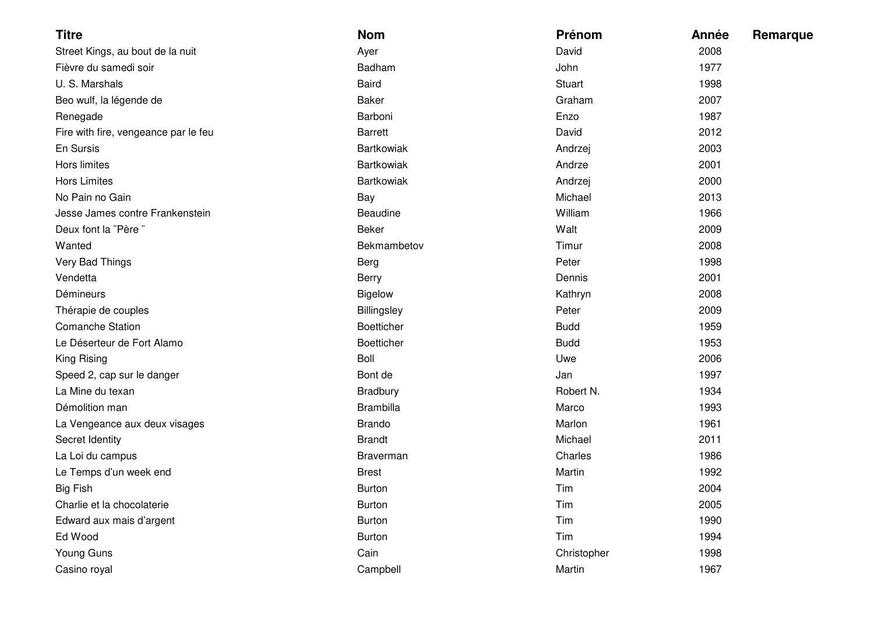| <b>Titre</b>                         | <b>Nom</b>        | Prénom        | Année<br>Remarque |
|--------------------------------------|-------------------|---------------|-------------------|
| Street Kings, au bout de la nuit     | Ayer              | David         | 2008              |
| Fièvre du samedi soir                | Badham            | John          | 1977              |
| U. S. Marshals                       | <b>Baird</b>      | <b>Stuart</b> | 1998              |
| Beo wulf, la légende de              | Baker             | Graham        | 2007              |
| Renegade                             | Barboni           | Enzo          | 1987              |
| Fire with fire, vengeance par le feu | <b>Barrett</b>    | David         | 2012              |
| En Sursis                            | <b>Bartkowiak</b> | Andrzej       | 2003              |
| Hors limites                         | <b>Bartkowiak</b> | Andrze        | 2001              |
| <b>Hors Limites</b>                  | <b>Bartkowiak</b> | Andrzej       | 2000              |
| No Pain no Gain                      | Bay               | Michael       | 2013              |
| Jesse James contre Frankenstein      | Beaudine          | William       | 1966              |
| Deux font la "Père"                  | Beker             | Walt          | 2009              |
| Wanted                               | Bekmambetov       | Timur         | 2008              |
| Very Bad Things                      | Berg              | Peter         | 1998              |
| Vendetta                             | Berry             | Dennis        | 2001              |
| Démineurs                            | <b>Bigelow</b>    | Kathryn       | 2008              |
| Thérapie de couples                  | Billingsley       | Peter         | 2009              |
| <b>Comanche Station</b>              | <b>Boetticher</b> | <b>Budd</b>   | 1959              |
| Le Déserteur de Fort Alamo           | <b>Boetticher</b> | <b>Budd</b>   | 1953              |
| King Rising                          | Boll              | Uwe           | 2006              |
| Speed 2, cap sur le danger           | Bont de           | Jan           | 1997              |
| La Mine du texan                     | <b>Bradbury</b>   | Robert N.     | 1934              |
| Démolition man                       | <b>Brambilla</b>  | Marco         | 1993              |
| La Vengeance aux deux visages        | <b>Brando</b>     | Marlon        | 1961              |
| Secret Identity                      | <b>Brandt</b>     | Michael       | 2011              |
| La Loi du campus                     | Braverman         | Charles       | 1986              |
| Le Temps d'un week end               | <b>Brest</b>      | Martin        | 1992              |
| Big Fish                             | <b>Burton</b>     | Tim           | 2004              |
| Charlie et la chocolaterie           | <b>Burton</b>     | Tim           | 2005              |
| Edward aux mais d'argent             | <b>Burton</b>     | Tim           | 1990              |
| Ed Wood                              | <b>Burton</b>     | Tim           | 1994              |
| Young Guns                           | Cain              | Christopher   | 1998              |
| Casino royal                         | Campbell          | Martin        | 1967              |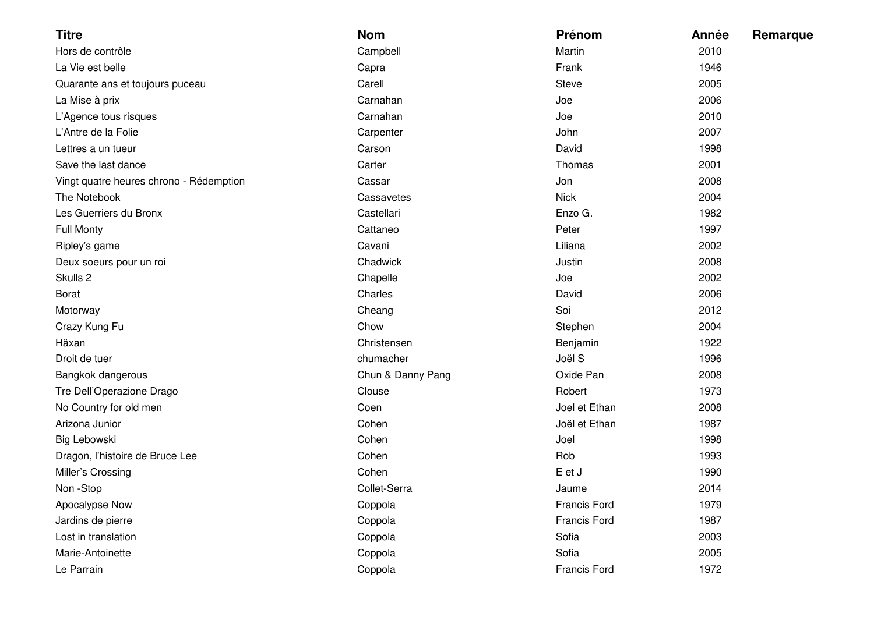| <b>Titre</b>                            | <b>Nom</b>        | Prénom              | Année | Remarque |
|-----------------------------------------|-------------------|---------------------|-------|----------|
| Hors de contrôle                        | Campbell          | Martin              | 2010  |          |
| La Vie est belle                        | Capra             | Frank               | 1946  |          |
| Quarante ans et toujours puceau         | Carell            | <b>Steve</b>        | 2005  |          |
| La Mise à prix                          | Carnahan          | Joe                 | 2006  |          |
| L'Agence tous risques                   | Carnahan          | Joe                 | 2010  |          |
| L'Antre de la Folie                     | Carpenter         | John                | 2007  |          |
| Lettres a un tueur                      | Carson            | David               | 1998  |          |
| Save the last dance                     | Carter            | Thomas              | 2001  |          |
| Vingt quatre heures chrono - Rédemption | Cassar            | Jon                 | 2008  |          |
| The Notebook                            | Cassavetes        | <b>Nick</b>         | 2004  |          |
| Les Guerriers du Bronx                  | Castellari        | Enzo G.             | 1982  |          |
| <b>Full Monty</b>                       | Cattaneo          | Peter               | 1997  |          |
| Ripley's game                           | Cavani            | Liliana             | 2002  |          |
| Deux soeurs pour un roi                 | Chadwick          | Justin              | 2008  |          |
| Skulls 2                                | Chapelle          | Joe                 | 2002  |          |
| <b>Borat</b>                            | Charles           | David               | 2006  |          |
| Motorway                                | Cheang            | Soi                 | 2012  |          |
| Crazy Kung Fu                           | Chow              | Stephen             | 2004  |          |
| Häxan                                   | Christensen       | Benjamin            | 1922  |          |
| Droit de tuer                           | chumacher         | Joël S              | 1996  |          |
| Bangkok dangerous                       | Chun & Danny Pang | Oxide Pan           | 2008  |          |
| Tre Dell'Operazione Drago               | Clouse            | Robert              | 1973  |          |
| No Country for old men                  | Coen              | Joel et Ethan       | 2008  |          |
| Arizona Junior                          | Cohen             | Joël et Ethan       | 1987  |          |
| Big Lebowski                            | Cohen             | Joel                | 1998  |          |
| Dragon, l'histoire de Bruce Lee         | Cohen             | Rob                 | 1993  |          |
| Miller's Crossing                       | Cohen             | E et J              | 1990  |          |
| Non -Stop                               | Collet-Serra      | Jaume               | 2014  |          |
| Apocalypse Now                          | Coppola           | <b>Francis Ford</b> | 1979  |          |
| Jardins de pierre                       | Coppola           | <b>Francis Ford</b> | 1987  |          |
| Lost in translation                     | Coppola           | Sofia               | 2003  |          |
| Marie-Antoinette                        | Coppola           | Sofia               | 2005  |          |
| Le Parrain                              | Coppola           | <b>Francis Ford</b> | 1972  |          |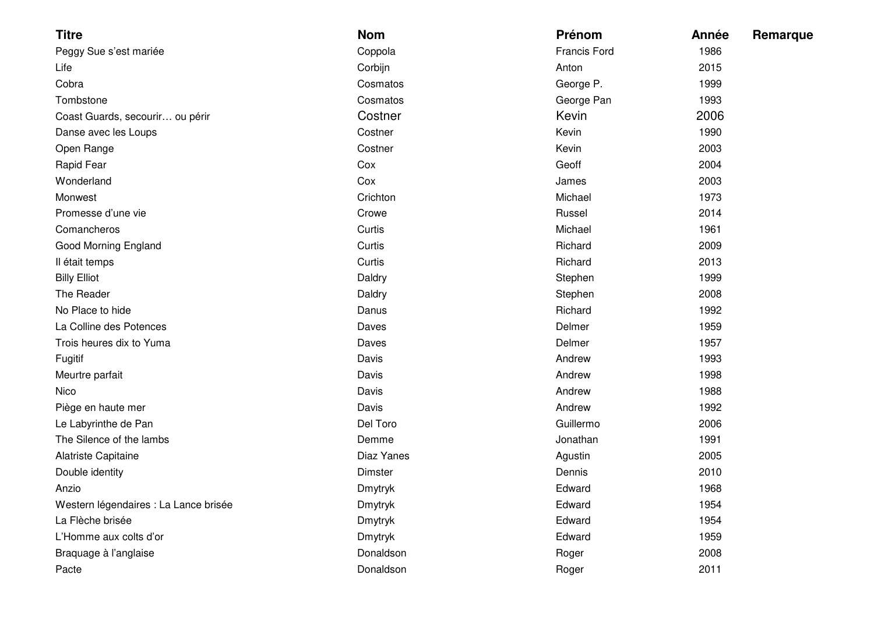| <b>Titre</b>                          | <b>Nom</b>     | Prénom       | Année | Remarque |
|---------------------------------------|----------------|--------------|-------|----------|
| Peggy Sue s'est mariée                | Coppola        | Francis Ford | 1986  |          |
| Life                                  | Corbijn        | Anton        | 2015  |          |
| Cobra                                 | Cosmatos       | George P.    | 1999  |          |
| Tombstone                             | Cosmatos       | George Pan   | 1993  |          |
| Coast Guards, secourir ou périr       | Costner        | Kevin        | 2006  |          |
| Danse avec les Loups                  | Costner        | Kevin        | 1990  |          |
| Open Range                            | Costner        | Kevin        | 2003  |          |
| Rapid Fear                            | Cox            | Geoff        | 2004  |          |
| Wonderland                            | Cox            | James        | 2003  |          |
| Monwest                               | Crichton       | Michael      | 1973  |          |
| Promesse d'une vie                    | Crowe          | Russel       | 2014  |          |
| Comancheros                           | Curtis         | Michael      | 1961  |          |
| Good Morning England                  | Curtis         | Richard      | 2009  |          |
| Il était temps                        | Curtis         | Richard      | 2013  |          |
| <b>Billy Elliot</b>                   | Daldry         | Stephen      | 1999  |          |
| The Reader                            | Daldry         | Stephen      | 2008  |          |
| No Place to hide                      | Danus          | Richard      | 1992  |          |
| La Colline des Potences               | Daves          | Delmer       | 1959  |          |
| Trois heures dix to Yuma              | Daves          | Delmer       | 1957  |          |
| Fugitif                               | Davis          | Andrew       | 1993  |          |
| Meurtre parfait                       | Davis          | Andrew       | 1998  |          |
| Nico                                  | Davis          | Andrew       | 1988  |          |
| Piège en haute mer                    | Davis          | Andrew       | 1992  |          |
| Le Labyrinthe de Pan                  | Del Toro       | Guillermo    | 2006  |          |
| The Silence of the lambs              | Demme          | Jonathan     | 1991  |          |
| Alatriste Capitaine                   | Diaz Yanes     | Agustin      | 2005  |          |
| Double identity                       | Dimster        | Dennis       | 2010  |          |
| Anzio                                 | Dmytryk        | Edward       | 1968  |          |
| Western légendaires : La Lance brisée | <b>Dmytryk</b> | Edward       | 1954  |          |
| La Flèche brisée                      | <b>Dmytryk</b> | Edward       | 1954  |          |
| L'Homme aux colts d'or                | <b>Dmytryk</b> | Edward       | 1959  |          |
| Braquage à l'anglaise                 | Donaldson      | Roger        | 2008  |          |
| Pacte                                 | Donaldson      | Roger        | 2011  |          |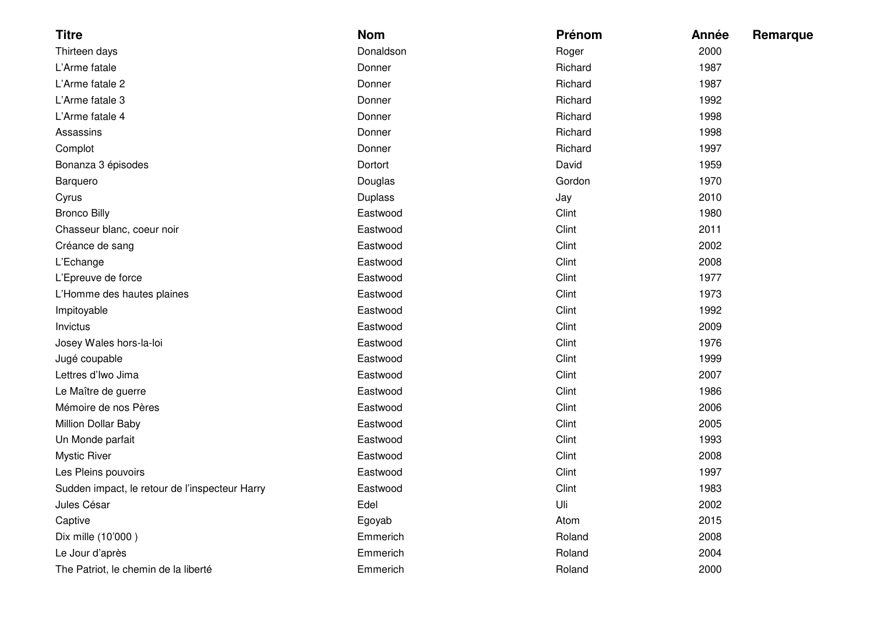| <b>Titre</b>                                   | <b>Nom</b>     | Prénom  | Année | Remarque |
|------------------------------------------------|----------------|---------|-------|----------|
| Thirteen days                                  | Donaldson      | Roger   | 2000  |          |
| L'Arme fatale                                  | Donner         | Richard | 1987  |          |
| L'Arme fatale 2                                | Donner         | Richard | 1987  |          |
| L'Arme fatale 3                                | Donner         | Richard | 1992  |          |
| L'Arme fatale 4                                | Donner         | Richard | 1998  |          |
| Assassins                                      | Donner         | Richard | 1998  |          |
| Complot                                        | Donner         | Richard | 1997  |          |
| Bonanza 3 épisodes                             | Dortort        | David   | 1959  |          |
| Barquero                                       | Douglas        | Gordon  | 1970  |          |
| Cyrus                                          | <b>Duplass</b> | Jay     | 2010  |          |
| <b>Bronco Billy</b>                            | Eastwood       | Clint   | 1980  |          |
| Chasseur blanc, coeur noir                     | Eastwood       | Clint   | 2011  |          |
| Créance de sang                                | Eastwood       | Clint   | 2002  |          |
| L'Echange                                      | Eastwood       | Clint   | 2008  |          |
| L'Epreuve de force                             | Eastwood       | Clint   | 1977  |          |
| L'Homme des hautes plaines                     | Eastwood       | Clint   | 1973  |          |
| Impitoyable                                    | Eastwood       | Clint   | 1992  |          |
| Invictus                                       | Eastwood       | Clint   | 2009  |          |
| Josey Wales hors-la-loi                        | Eastwood       | Clint   | 1976  |          |
| Jugé coupable                                  | Eastwood       | Clint   | 1999  |          |
| Lettres d'Iwo Jima                             | Eastwood       | Clint   | 2007  |          |
| Le Maître de guerre                            | Eastwood       | Clint   | 1986  |          |
| Mémoire de nos Pères                           | Eastwood       | Clint   | 2006  |          |
| Million Dollar Baby                            | Eastwood       | Clint   | 2005  |          |
| Un Monde parfait                               | Eastwood       | Clint   | 1993  |          |
| <b>Mystic River</b>                            | Eastwood       | Clint   | 2008  |          |
| Les Pleins pouvoirs                            | Eastwood       | Clint   | 1997  |          |
| Sudden impact, le retour de l'inspecteur Harry | Eastwood       | Clint   | 1983  |          |
| Jules César                                    | Edel           | Uli     | 2002  |          |
| Captive                                        | Egoyab         | Atom    | 2015  |          |
| Dix mille (10'000)                             | Emmerich       | Roland  | 2008  |          |
| Le Jour d'après                                | Emmerich       | Roland  | 2004  |          |
| The Patriot, le chemin de la liberté           | Emmerich       | Roland  | 2000  |          |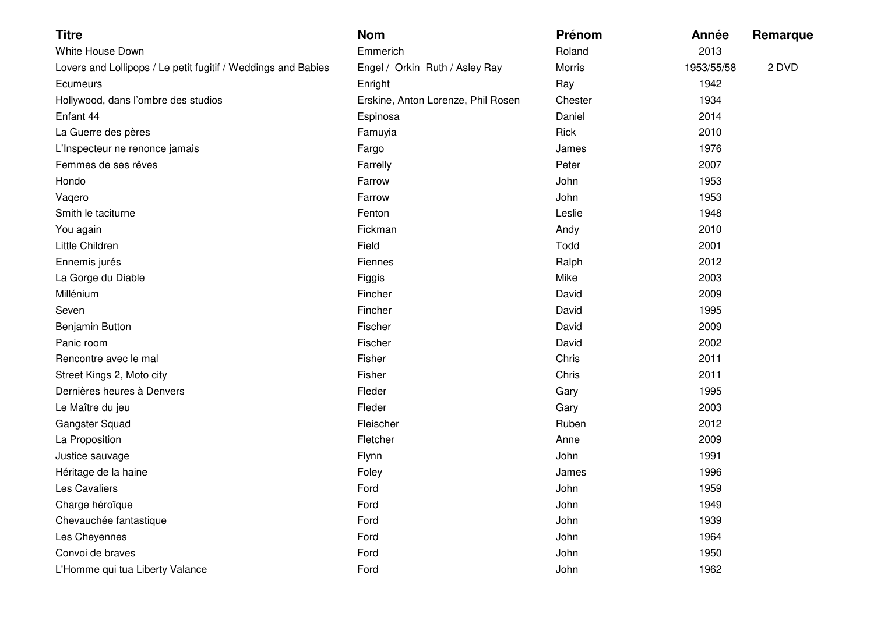| <b>Titre</b>                                                  | <b>Nom</b>                         | Prénom  | Année      | Remarque |
|---------------------------------------------------------------|------------------------------------|---------|------------|----------|
| White House Down                                              | Emmerich                           | Roland  | 2013       |          |
| Lovers and Lollipops / Le petit fugitif / Weddings and Babies | Engel / Orkin Ruth / Asley Ray     | Morris  | 1953/55/58 | 2 DVD    |
| Ecumeurs                                                      | Enright                            | Ray     | 1942       |          |
| Hollywood, dans l'ombre des studios                           | Erskine, Anton Lorenze, Phil Rosen | Chester | 1934       |          |
| Enfant 44                                                     | Espinosa                           | Daniel  | 2014       |          |
| La Guerre des pères                                           | Famuyia                            | Rick    | 2010       |          |
| L'Inspecteur ne renonce jamais                                | Fargo                              | James   | 1976       |          |
| Femmes de ses rêves                                           | Farrelly                           | Peter   | 2007       |          |
| Hondo                                                         | Farrow                             | John    | 1953       |          |
| Vaqero                                                        | Farrow                             | John    | 1953       |          |
| Smith le taciturne                                            | Fenton                             | Leslie  | 1948       |          |
| You again                                                     | Fickman                            | Andy    | 2010       |          |
| Little Children                                               | Field                              | Todd    | 2001       |          |
| Ennemis jurés                                                 | Fiennes                            | Ralph   | 2012       |          |
| La Gorge du Diable                                            | Figgis                             | Mike    | 2003       |          |
| Millénium                                                     | Fincher                            | David   | 2009       |          |
| Seven                                                         | Fincher                            | David   | 1995       |          |
| <b>Benjamin Button</b>                                        | Fischer                            | David   | 2009       |          |
| Panic room                                                    | Fischer                            | David   | 2002       |          |
| Rencontre avec le mal                                         | Fisher                             | Chris   | 2011       |          |
| Street Kings 2, Moto city                                     | Fisher                             | Chris   | 2011       |          |
| Dernières heures à Denvers                                    | Fleder                             | Gary    | 1995       |          |
| Le Maître du jeu                                              | Fleder                             | Gary    | 2003       |          |
| Gangster Squad                                                | Fleischer                          | Ruben   | 2012       |          |
| La Proposition                                                | Fletcher                           | Anne    | 2009       |          |
| Justice sauvage                                               | Flynn                              | John    | 1991       |          |
| Héritage de la haine                                          | Foley                              | James   | 1996       |          |
| Les Cavaliers                                                 | Ford                               | John    | 1959       |          |
| Charge héroïque                                               | Ford                               | John    | 1949       |          |
| Chevauchée fantastique                                        | Ford                               | John    | 1939       |          |
| Les Cheyennes                                                 | Ford                               | John    | 1964       |          |
| Convoi de braves                                              | Ford                               | John    | 1950       |          |
| L'Homme qui tua Liberty Valance                               | Ford                               | John    | 1962       |          |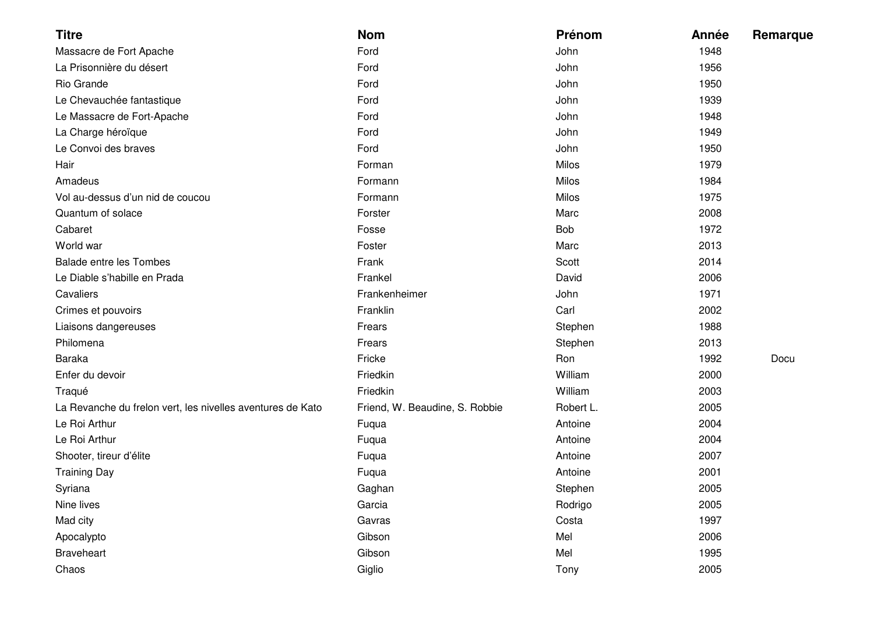| <b>Titre</b>                                               | <b>Nom</b>                     | Prénom    | Année | Remarque |
|------------------------------------------------------------|--------------------------------|-----------|-------|----------|
| Massacre de Fort Apache                                    | Ford                           | John      | 1948  |          |
| La Prisonnière du désert                                   | Ford                           | John      | 1956  |          |
| Rio Grande                                                 | Ford                           | John      | 1950  |          |
| Le Chevauchée fantastique                                  | Ford                           | John      | 1939  |          |
| Le Massacre de Fort-Apache                                 | Ford                           | John      | 1948  |          |
| La Charge héroïque                                         | Ford                           | John      | 1949  |          |
| Le Convoi des braves                                       | Ford                           | John      | 1950  |          |
| Hair                                                       | Forman                         | Milos     | 1979  |          |
| Amadeus                                                    | Formann                        | Milos     | 1984  |          |
| Vol au-dessus d'un nid de coucou                           | Formann                        | Milos     | 1975  |          |
| Quantum of solace                                          | Forster                        | Marc      | 2008  |          |
| Cabaret                                                    | Fosse                          | Bob       | 1972  |          |
| World war                                                  | Foster                         | Marc      | 2013  |          |
| <b>Balade entre les Tombes</b>                             | Frank                          | Scott     | 2014  |          |
| Le Diable s'habille en Prada                               | Frankel                        | David     | 2006  |          |
| Cavaliers                                                  | Frankenheimer                  | John      | 1971  |          |
| Crimes et pouvoirs                                         | Franklin                       | Carl      | 2002  |          |
| Liaisons dangereuses                                       | Frears                         | Stephen   | 1988  |          |
| Philomena                                                  | Frears                         | Stephen   | 2013  |          |
| <b>Baraka</b>                                              | Fricke                         | Ron       | 1992  | Docu     |
| Enfer du devoir                                            | Friedkin                       | William   | 2000  |          |
| Traqué                                                     | Friedkin                       | William   | 2003  |          |
| La Revanche du frelon vert, les nivelles aventures de Kato | Friend, W. Beaudine, S. Robbie | Robert L. | 2005  |          |
| Le Roi Arthur                                              | Fuqua                          | Antoine   | 2004  |          |
| Le Roi Arthur                                              | Fuqua                          | Antoine   | 2004  |          |
| Shooter, tireur d'élite                                    | Fuqua                          | Antoine   | 2007  |          |
| <b>Training Day</b>                                        | Fuqua                          | Antoine   | 2001  |          |
| Syriana                                                    | Gaghan                         | Stephen   | 2005  |          |
| Nine lives                                                 | Garcia                         | Rodrigo   | 2005  |          |
| Mad city                                                   | Gavras                         | Costa     | 1997  |          |
| Apocalypto                                                 | Gibson                         | Mel       | 2006  |          |
| <b>Braveheart</b>                                          | Gibson                         | Mel       | 1995  |          |
| Chaos                                                      | Giglio                         | Tony      | 2005  |          |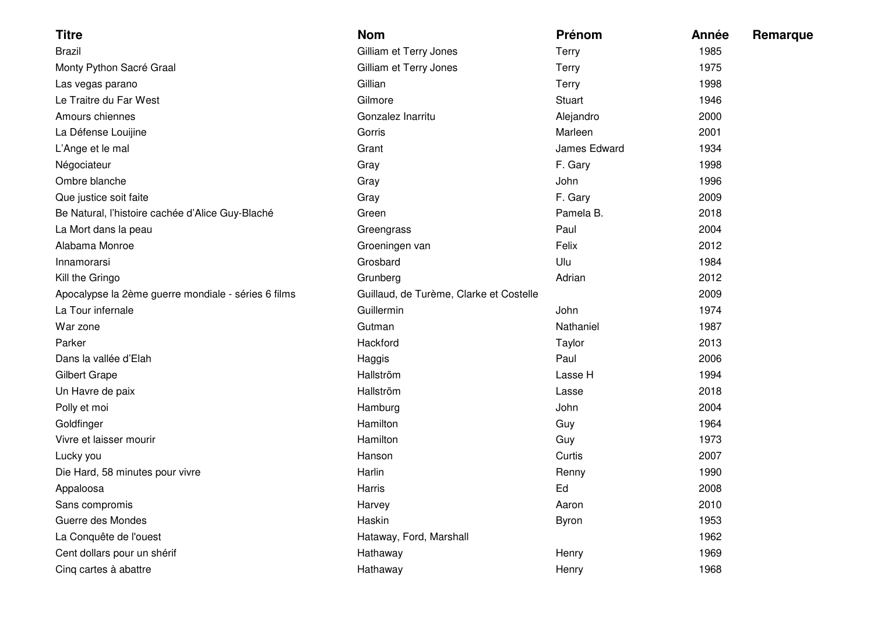| <b>Titre</b>                                        | <b>Nom</b>                              | Prénom        | Année | Remarque |
|-----------------------------------------------------|-----------------------------------------|---------------|-------|----------|
| <b>Brazil</b>                                       | Gilliam et Terry Jones                  | Terry         | 1985  |          |
| Monty Python Sacré Graal                            | Gilliam et Terry Jones                  | Terry         | 1975  |          |
| Las vegas parano                                    | Gillian                                 | <b>Terry</b>  | 1998  |          |
| Le Traitre du Far West                              | Gilmore                                 | <b>Stuart</b> | 1946  |          |
| Amours chiennes                                     | Gonzalez Inarritu                       | Alejandro     | 2000  |          |
| La Défense Louijine                                 | Gorris                                  | Marleen       | 2001  |          |
| L'Ange et le mal                                    | Grant                                   | James Edward  | 1934  |          |
| Négociateur                                         | Gray                                    | F. Gary       | 1998  |          |
| Ombre blanche                                       | Gray                                    | John          | 1996  |          |
| Que justice soit faite                              | Gray                                    | F. Gary       | 2009  |          |
| Be Natural, l'histoire cachée d'Alice Guy-Blaché    | Green                                   | Pamela B.     | 2018  |          |
| La Mort dans la peau                                | Greengrass                              | Paul          | 2004  |          |
| Alabama Monroe                                      | Groeningen van                          | Felix         | 2012  |          |
| Innamorarsi                                         | Grosbard                                | Ulu           | 1984  |          |
| Kill the Gringo                                     | Grunberg                                | Adrian        | 2012  |          |
| Apocalypse la 2ème guerre mondiale - séries 6 films | Guillaud, de Turème, Clarke et Costelle |               | 2009  |          |
| La Tour infernale                                   | Guillermin                              | John          | 1974  |          |
| War zone                                            | Gutman                                  | Nathaniel     | 1987  |          |
| Parker                                              | Hackford                                | Taylor        | 2013  |          |
| Dans la vallée d'Elah                               | Haggis                                  | Paul          | 2006  |          |
| <b>Gilbert Grape</b>                                | Hallström                               | Lasse H       | 1994  |          |
| Un Havre de paix                                    | Hallström                               | Lasse         | 2018  |          |
| Polly et moi                                        | Hamburg                                 | John          | 2004  |          |
| Goldfinger                                          | Hamilton                                | Guy           | 1964  |          |
| Vivre et laisser mourir                             | Hamilton                                | Guy           | 1973  |          |
| Lucky you                                           | Hanson                                  | Curtis        | 2007  |          |
| Die Hard, 58 minutes pour vivre                     | Harlin                                  | Renny         | 1990  |          |
| Appaloosa                                           | Harris                                  | Ed            | 2008  |          |
| Sans compromis                                      | Harvey                                  | Aaron         | 2010  |          |
| Guerre des Mondes                                   | Haskin                                  | <b>Byron</b>  | 1953  |          |
| La Conquête de l'ouest                              | Hataway, Ford, Marshall                 |               | 1962  |          |
| Cent dollars pour un shérif                         | Hathaway                                | Henry         | 1969  |          |
| Cinq cartes à abattre                               | Hathaway                                | Henry         | 1968  |          |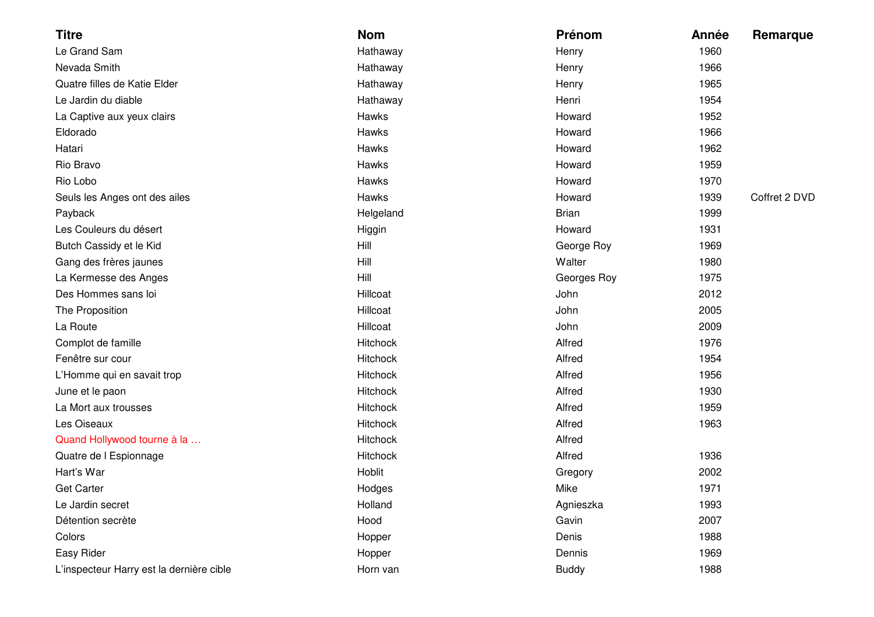| <b>Titre</b>                             | <b>Nom</b> | Prénom       | Année | Remarque      |
|------------------------------------------|------------|--------------|-------|---------------|
| Le Grand Sam                             | Hathaway   | Henry        | 1960  |               |
| Nevada Smith                             | Hathaway   | Henry        | 1966  |               |
| Quatre filles de Katie Elder             | Hathaway   | Henry        | 1965  |               |
| Le Jardin du diable                      | Hathaway   | Henri        | 1954  |               |
| La Captive aux yeux clairs               | Hawks      | Howard       | 1952  |               |
| Eldorado                                 | Hawks      | Howard       | 1966  |               |
| Hatari                                   | Hawks      | Howard       | 1962  |               |
| Rio Bravo                                | Hawks      | Howard       | 1959  |               |
| Rio Lobo                                 | Hawks      | Howard       | 1970  |               |
| Seuls les Anges ont des ailes            | Hawks      | Howard       | 1939  | Coffret 2 DVD |
| Payback                                  | Helgeland  | <b>Brian</b> | 1999  |               |
| Les Couleurs du désert                   | Higgin     | Howard       | 1931  |               |
| Butch Cassidy et le Kid                  | Hill       | George Roy   | 1969  |               |
| Gang des frères jaunes                   | Hill       | Walter       | 1980  |               |
| La Kermesse des Anges                    | Hill       | Georges Roy  | 1975  |               |
| Des Hommes sans loi                      | Hillcoat   | John         | 2012  |               |
| The Proposition                          | Hillcoat   | John         | 2005  |               |
| La Route                                 | Hillcoat   | John         | 2009  |               |
| Complot de famille                       | Hitchock   | Alfred       | 1976  |               |
| Fenêtre sur cour                         | Hitchock   | Alfred       | 1954  |               |
| L'Homme qui en savait trop               | Hitchock   | Alfred       | 1956  |               |
| June et le paon                          | Hitchock   | Alfred       | 1930  |               |
| La Mort aux trousses                     | Hitchock   | Alfred       | 1959  |               |
| Les Oiseaux                              | Hitchock   | Alfred       | 1963  |               |
| Quand Hollywood tourne à la              | Hitchock   | Alfred       |       |               |
| Quatre de I Espionnage                   | Hitchock   | Alfred       | 1936  |               |
| Hart's War                               | Hoblit     | Gregory      | 2002  |               |
| <b>Get Carter</b>                        | Hodges     | Mike         | 1971  |               |
| Le Jardin secret                         | Holland    | Agnieszka    | 1993  |               |
| Détention secrète                        | Hood       | Gavin        | 2007  |               |
| Colors                                   | Hopper     | Denis        | 1988  |               |
| Easy Rider                               | Hopper     | Dennis       | 1969  |               |
| L'inspecteur Harry est la dernière cible | Horn van   | <b>Buddy</b> | 1988  |               |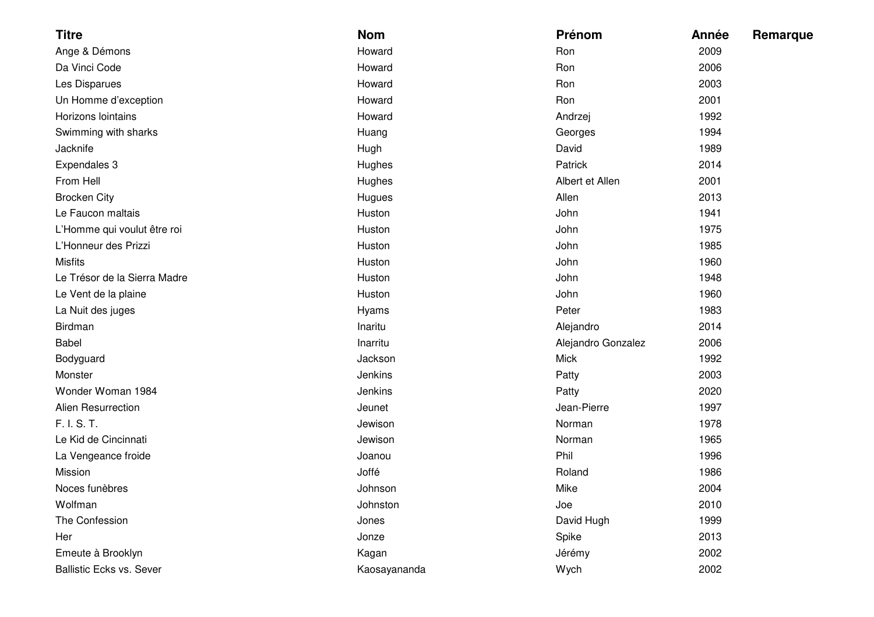| <b>Titre</b>                    | <b>Nom</b>   | Prénom             | Année | Remarque |
|---------------------------------|--------------|--------------------|-------|----------|
| Ange & Démons                   | Howard       | Ron                | 2009  |          |
| Da Vinci Code                   | Howard       | Ron                | 2006  |          |
| Les Disparues                   | Howard       | Ron                | 2003  |          |
| Un Homme d'exception            | Howard       | Ron                | 2001  |          |
| Horizons lointains              | Howard       | Andrzej            | 1992  |          |
| Swimming with sharks            | Huang        | Georges            | 1994  |          |
| Jacknife                        | Hugh         | David              | 1989  |          |
| Expendales 3                    | Hughes       | Patrick            | 2014  |          |
| From Hell                       | Hughes       | Albert et Allen    | 2001  |          |
| <b>Brocken City</b>             | Hugues       | Allen              | 2013  |          |
| Le Faucon maltais               | Huston       | John               | 1941  |          |
| L'Homme qui voulut être roi     | Huston       | John               | 1975  |          |
| L'Honneur des Prizzi            | Huston       | John               | 1985  |          |
| <b>Misfits</b>                  | Huston       | John               | 1960  |          |
| Le Trésor de la Sierra Madre    | Huston       | John               | 1948  |          |
| Le Vent de la plaine            | Huston       | John               | 1960  |          |
| La Nuit des juges               | Hyams        | Peter              | 1983  |          |
| Birdman                         | Inaritu      | Alejandro          | 2014  |          |
| <b>Babel</b>                    | Inarritu     | Alejandro Gonzalez | 2006  |          |
| Bodyguard                       | Jackson      | <b>Mick</b>        | 1992  |          |
| Monster                         | Jenkins      | Patty              | 2003  |          |
| Wonder Woman 1984               | Jenkins      | Patty              | 2020  |          |
| <b>Alien Resurrection</b>       | Jeunet       | Jean-Pierre        | 1997  |          |
| F. I. S. T.                     | Jewison      | Norman             | 1978  |          |
| Le Kid de Cincinnati            | Jewison      | Norman             | 1965  |          |
| La Vengeance froide             | Joanou       | Phil               | 1996  |          |
| Mission                         | Joffé        | Roland             | 1986  |          |
| Noces funèbres                  | Johnson      | Mike               | 2004  |          |
| Wolfman                         | Johnston     | Joe                | 2010  |          |
| The Confession                  | Jones        | David Hugh         | 1999  |          |
| Her                             | Jonze        | Spike              | 2013  |          |
| Emeute à Brooklyn               | Kagan        | Jérémy             | 2002  |          |
| <b>Ballistic Ecks vs. Sever</b> | Kaosayananda | Wych               | 2002  |          |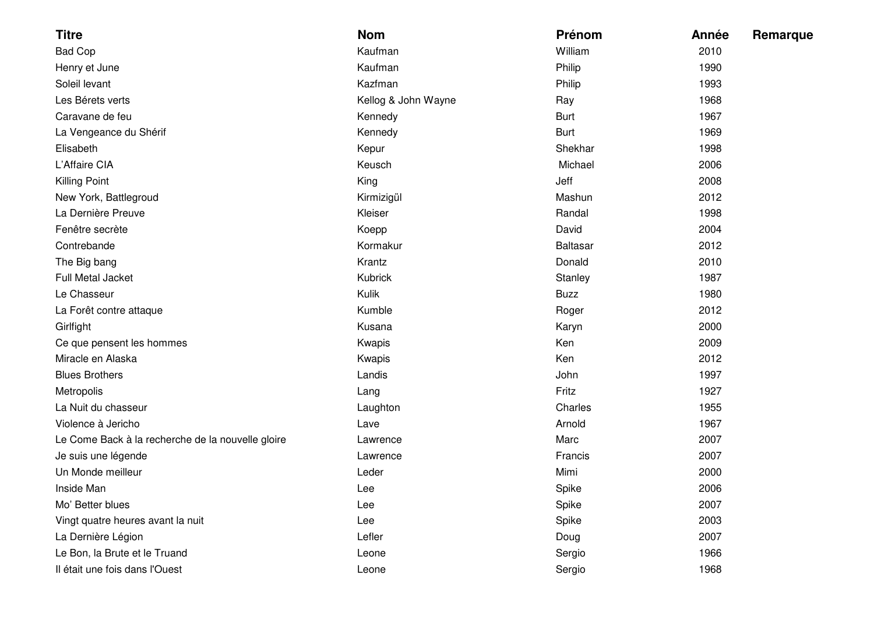| <b>Titre</b>                                      | <b>Nom</b>          | Prénom          | Année | Remarque |
|---------------------------------------------------|---------------------|-----------------|-------|----------|
| <b>Bad Cop</b>                                    | Kaufman             | William         | 2010  |          |
| Henry et June                                     | Kaufman             | Philip          | 1990  |          |
| Soleil levant                                     | Kazfman             | Philip          | 1993  |          |
| Les Bérets verts                                  | Kellog & John Wayne | Ray             | 1968  |          |
| Caravane de feu                                   | Kennedy             | <b>Burt</b>     | 1967  |          |
| La Vengeance du Shérif                            | Kennedy             | <b>Burt</b>     | 1969  |          |
| Elisabeth                                         | Kepur               | Shekhar         | 1998  |          |
| L'Affaire CIA                                     | Keusch              | Michael         | 2006  |          |
| Killing Point                                     | King                | Jeff            | 2008  |          |
| New York, Battlegroud                             | Kirmizigül          | Mashun          | 2012  |          |
| La Dernière Preuve                                | Kleiser             | Randal          | 1998  |          |
| Fenêtre secrète                                   | Koepp               | David           | 2004  |          |
| Contrebande                                       | Kormakur            | <b>Baltasar</b> | 2012  |          |
| The Big bang                                      | Krantz              | Donald          | 2010  |          |
| <b>Full Metal Jacket</b>                          | Kubrick             | Stanley         | 1987  |          |
| Le Chasseur                                       | Kulik               | <b>Buzz</b>     | 1980  |          |
| La Forêt contre attaque                           | Kumble              | Roger           | 2012  |          |
| Girlfight                                         | Kusana              | Karyn           | 2000  |          |
| Ce que pensent les hommes                         | Kwapis              | Ken             | 2009  |          |
| Miracle en Alaska                                 | Kwapis              | Ken             | 2012  |          |
| <b>Blues Brothers</b>                             | Landis              | John            | 1997  |          |
| Metropolis                                        | Lang                | Fritz           | 1927  |          |
| La Nuit du chasseur                               | Laughton            | Charles         | 1955  |          |
| Violence à Jericho                                | Lave                | Arnold          | 1967  |          |
| Le Come Back à la recherche de la nouvelle gloire | Lawrence            | Marc            | 2007  |          |
| Je suis une légende                               | Lawrence            | Francis         | 2007  |          |
| Un Monde meilleur                                 | Leder               | Mimi            | 2000  |          |
| Inside Man                                        | Lee                 | Spike           | 2006  |          |
| Mo' Better blues                                  | Lee                 | Spike           | 2007  |          |
| Vingt quatre heures avant la nuit                 | Lee                 | Spike           | 2003  |          |
| La Dernière Légion                                | Lefler              | Doug            | 2007  |          |
| Le Bon, la Brute et le Truand                     | Leone               | Sergio          | 1966  |          |
| Il était une fois dans l'Ouest                    | Leone               | Sergio          | 1968  |          |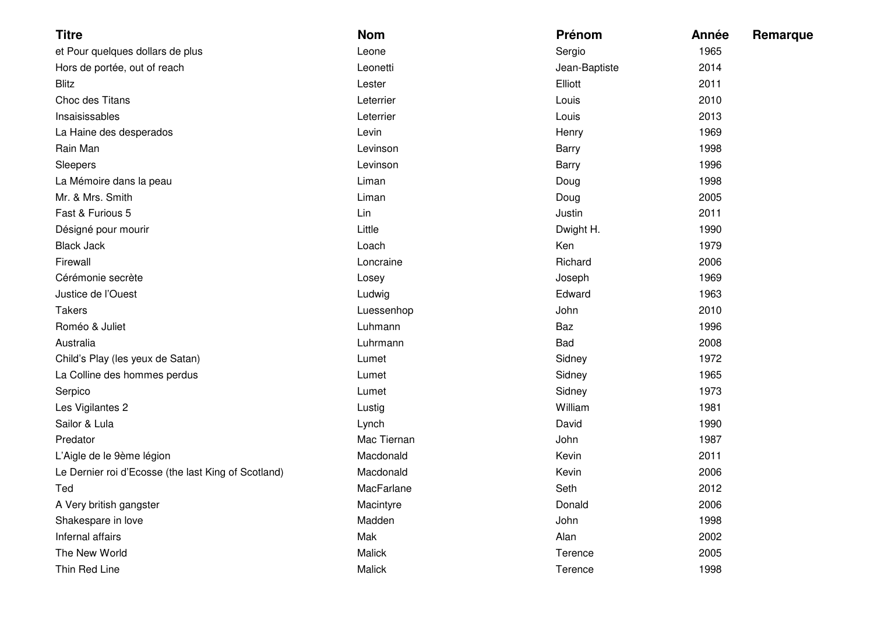| <b>Titre</b>                                        | <b>Nom</b>  | Prénom        | Année | Remarque |
|-----------------------------------------------------|-------------|---------------|-------|----------|
| et Pour quelques dollars de plus                    | Leone       | Sergio        | 1965  |          |
| Hors de portée, out of reach                        | Leonetti    | Jean-Baptiste | 2014  |          |
| <b>Blitz</b>                                        | Lester      | Elliott       | 2011  |          |
| Choc des Titans                                     | Leterrier   | Louis         | 2010  |          |
| Insaisissables                                      | Leterrier   | Louis         | 2013  |          |
| La Haine des desperados                             | Levin       | Henry         | 1969  |          |
| Rain Man                                            | Levinson    | <b>Barry</b>  | 1998  |          |
| Sleepers                                            | Levinson    | <b>Barry</b>  | 1996  |          |
| La Mémoire dans la peau                             | Liman       | Doug          | 1998  |          |
| Mr. & Mrs. Smith                                    | Liman       | Doug          | 2005  |          |
| Fast & Furious 5                                    | Lin         | Justin        | 2011  |          |
| Désigné pour mourir                                 | Little      | Dwight H.     | 1990  |          |
| <b>Black Jack</b>                                   | Loach       | Ken           | 1979  |          |
| Firewall                                            | Loncraine   | Richard       | 2006  |          |
| Cérémonie secrète                                   | Losey       | Joseph        | 1969  |          |
| Justice de l'Ouest                                  | Ludwig      | Edward        | 1963  |          |
| <b>Takers</b>                                       | Luessenhop  | John          | 2010  |          |
| Roméo & Juliet                                      | Luhmann     | Baz           | 1996  |          |
| Australia                                           | Luhrmann    | Bad           | 2008  |          |
| Child's Play (les yeux de Satan)                    | Lumet       | Sidney        | 1972  |          |
| La Colline des hommes perdus                        | Lumet       | Sidney        | 1965  |          |
| Serpico                                             | Lumet       | Sidney        | 1973  |          |
| Les Vigilantes 2                                    | Lustig      | William       | 1981  |          |
| Sailor & Lula                                       | Lynch       | David         | 1990  |          |
| Predator                                            | Mac Tiernan | John          | 1987  |          |
| L'Aigle de le 9ème légion                           | Macdonald   | Kevin         | 2011  |          |
| Le Dernier roi d'Ecosse (the last King of Scotland) | Macdonald   | Kevin         | 2006  |          |
| Ted                                                 | MacFarlane  | Seth          | 2012  |          |
| A Very british gangster                             | Macintyre   | Donald        | 2006  |          |
| Shakespare in love                                  | Madden      | John          | 1998  |          |
| Infernal affairs                                    | Mak         | Alan          | 2002  |          |
| The New World                                       | Malick      | Terence       | 2005  |          |
| Thin Red Line                                       | Malick      | Terence       | 1998  |          |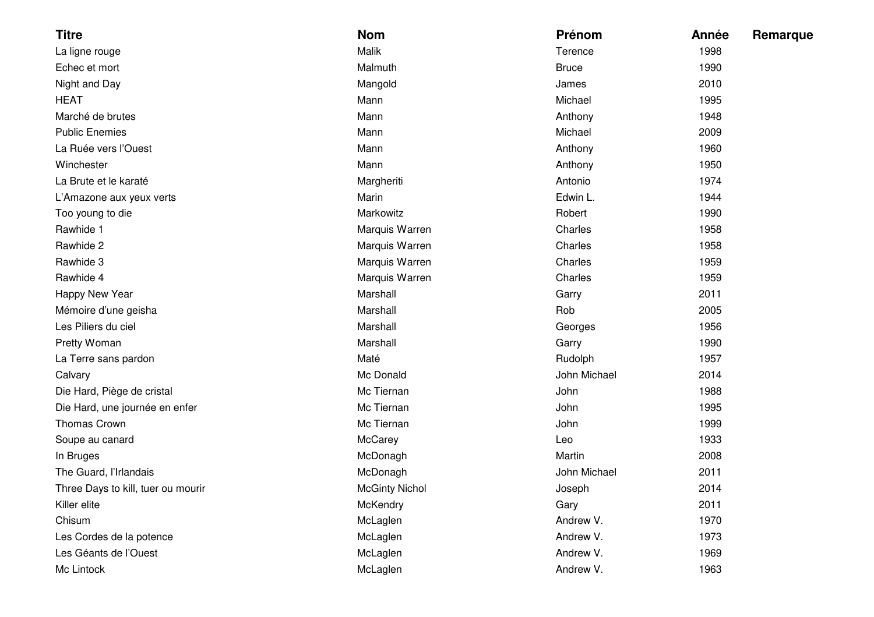| <b>Titre</b>                       | <b>Nom</b>            | Prénom       | Année | Remarque |
|------------------------------------|-----------------------|--------------|-------|----------|
| La ligne rouge                     | Malik                 | Terence      | 1998  |          |
| Echec et mort                      | Malmuth               | <b>Bruce</b> | 1990  |          |
| Night and Day                      | Mangold               | James        | 2010  |          |
| <b>HEAT</b>                        | Mann                  | Michael      | 1995  |          |
| Marché de brutes                   | Mann                  | Anthony      | 1948  |          |
| <b>Public Enemies</b>              | Mann                  | Michael      | 2009  |          |
| La Ruée vers l'Ouest               | Mann                  | Anthony      | 1960  |          |
| Winchester                         | Mann                  | Anthony      | 1950  |          |
| La Brute et le karaté              | Margheriti            | Antonio      | 1974  |          |
| L'Amazone aux yeux verts           | Marin                 | Edwin L.     | 1944  |          |
| Too young to die                   | Markowitz             | Robert       | 1990  |          |
| Rawhide 1                          | Marquis Warren        | Charles      | 1958  |          |
| Rawhide 2                          | Marquis Warren        | Charles      | 1958  |          |
| Rawhide 3                          | Marquis Warren        | Charles      | 1959  |          |
| Rawhide 4                          | Marquis Warren        | Charles      | 1959  |          |
| Happy New Year                     | Marshall              | Garry        | 2011  |          |
| Mémoire d'une geisha               | Marshall              | Rob          | 2005  |          |
| Les Piliers du ciel                | Marshall              | Georges      | 1956  |          |
| Pretty Woman                       | Marshall              | Garry        | 1990  |          |
| La Terre sans pardon               | Maté                  | Rudolph      | 1957  |          |
| Calvary                            | Mc Donald             | John Michael | 2014  |          |
| Die Hard, Piège de cristal         | Mc Tiernan            | John         | 1988  |          |
| Die Hard, une journée en enfer     | Mc Tiernan            | John         | 1995  |          |
| Thomas Crown                       | Mc Tiernan            | John         | 1999  |          |
| Soupe au canard                    | McCarey               | Leo          | 1933  |          |
| In Bruges                          | McDonagh              | Martin       | 2008  |          |
| The Guard, l'Irlandais             | McDonagh              | John Michael | 2011  |          |
| Three Days to kill, tuer ou mourir | <b>McGinty Nichol</b> | Joseph       | 2014  |          |
| Killer elite                       | McKendry              | Gary         | 2011  |          |
| Chisum                             | McLaglen              | Andrew V.    | 1970  |          |
| Les Cordes de la potence           | McLaglen              | Andrew V.    | 1973  |          |
| Les Géants de l'Ouest              | McLaglen              | Andrew V.    | 1969  |          |
| Mc Lintock                         | McLaglen              | Andrew V.    | 1963  |          |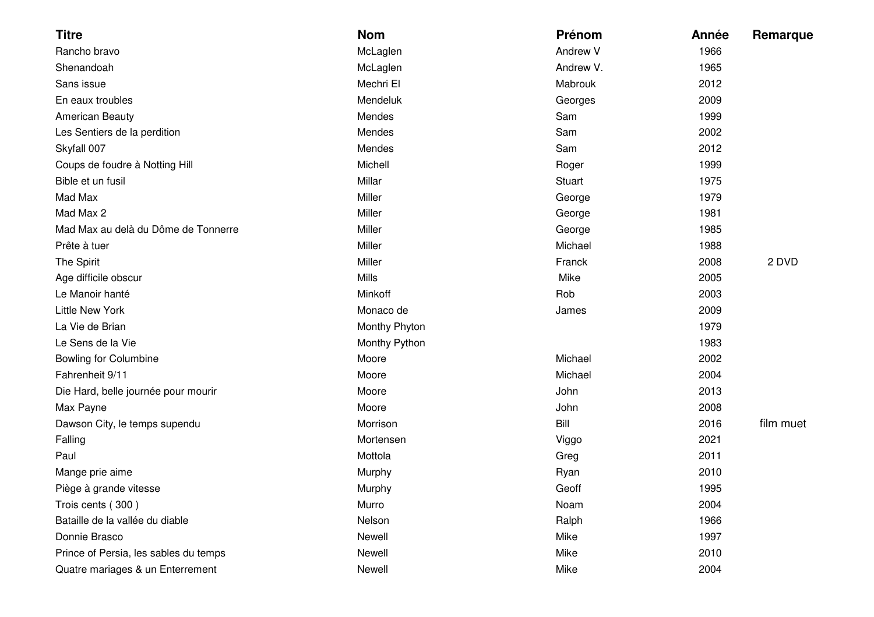| <b>Titre</b>                          | <b>Nom</b>    | Prénom        | Année | Remarque  |
|---------------------------------------|---------------|---------------|-------|-----------|
| Rancho bravo                          | McLaglen      | Andrew V      | 1966  |           |
| Shenandoah                            | McLaglen      | Andrew V.     | 1965  |           |
| Sans issue                            | Mechri El     | Mabrouk       | 2012  |           |
| En eaux troubles                      | Mendeluk      | Georges       | 2009  |           |
| <b>American Beauty</b>                | Mendes        | Sam           | 1999  |           |
| Les Sentiers de la perdition          | Mendes        | Sam           | 2002  |           |
| Skyfall 007                           | Mendes        | Sam           | 2012  |           |
| Coups de foudre à Notting Hill        | Michell       | Roger         | 1999  |           |
| Bible et un fusil                     | Millar        | <b>Stuart</b> | 1975  |           |
| Mad Max                               | Miller        | George        | 1979  |           |
| Mad Max 2                             | Miller        | George        | 1981  |           |
| Mad Max au delà du Dôme de Tonnerre   | Miller        | George        | 1985  |           |
| Prête à tuer                          | Miller        | Michael       | 1988  |           |
| The Spirit                            | Miller        | Franck        | 2008  | 2 DVD     |
| Age difficile obscur                  | <b>Mills</b>  | Mike          | 2005  |           |
| Le Manoir hanté                       | Minkoff       | Rob           | 2003  |           |
| <b>Little New York</b>                | Monaco de     | James         | 2009  |           |
| La Vie de Brian                       | Monthy Phyton |               | 1979  |           |
| Le Sens de la Vie                     | Monthy Python |               | 1983  |           |
| <b>Bowling for Columbine</b>          | Moore         | Michael       | 2002  |           |
| Fahrenheit 9/11                       | Moore         | Michael       | 2004  |           |
| Die Hard, belle journée pour mourir   | Moore         | John          | 2013  |           |
| Max Payne                             | Moore         | John          | 2008  |           |
| Dawson City, le temps supendu         | Morrison      | Bill          | 2016  | film muet |
| Falling                               | Mortensen     | Viggo         | 2021  |           |
| Paul                                  | Mottola       | Greg          | 2011  |           |
| Mange prie aime                       | Murphy        | Ryan          | 2010  |           |
| Piège à grande vitesse                | Murphy        | Geoff         | 1995  |           |
| Trois cents (300)                     | Murro         | Noam          | 2004  |           |
| Bataille de la vallée du diable       | Nelson        | Ralph         | 1966  |           |
| Donnie Brasco                         | Newell        | Mike          | 1997  |           |
| Prince of Persia, les sables du temps | Newell        | Mike          | 2010  |           |
| Quatre mariages & un Enterrement      | Newell        | Mike          | 2004  |           |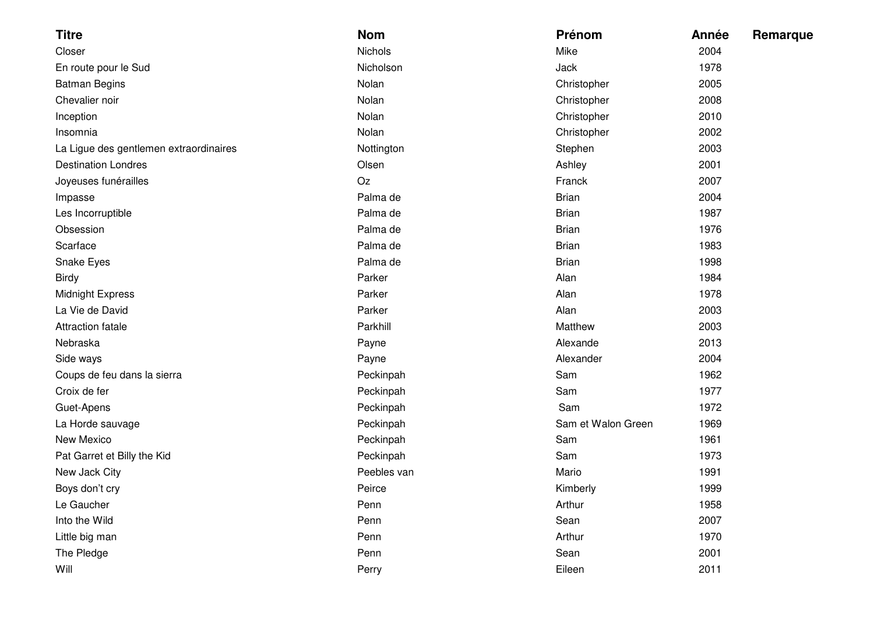| <b>Titre</b>                           | <b>Nom</b>  | Prénom             | Année | <b>Remarque</b> |
|----------------------------------------|-------------|--------------------|-------|-----------------|
| Closer                                 | Nichols     | Mike               | 2004  |                 |
| En route pour le Sud                   | Nicholson   | Jack               | 1978  |                 |
| <b>Batman Begins</b>                   | Nolan       | Christopher        | 2005  |                 |
| Chevalier noir                         | Nolan       | Christopher        | 2008  |                 |
| Inception                              | Nolan       | Christopher        | 2010  |                 |
| Insomnia                               | Nolan       | Christopher        | 2002  |                 |
| La Ligue des gentlemen extraordinaires | Nottington  | Stephen            | 2003  |                 |
| <b>Destination Londres</b>             | Olsen       | Ashley             | 2001  |                 |
| Joyeuses funérailles                   | Oz          | Franck             | 2007  |                 |
| Impasse                                | Palma de    | <b>Brian</b>       | 2004  |                 |
| Les Incorruptible                      | Palma de    | <b>Brian</b>       | 1987  |                 |
| Obsession                              | Palma de    | <b>Brian</b>       | 1976  |                 |
| Scarface                               | Palma de    | <b>Brian</b>       | 1983  |                 |
| Snake Eyes                             | Palma de    | <b>Brian</b>       | 1998  |                 |
| <b>Birdy</b>                           | Parker      | Alan               | 1984  |                 |
| <b>Midnight Express</b>                | Parker      | Alan               | 1978  |                 |
| La Vie de David                        | Parker      | Alan               | 2003  |                 |
| <b>Attraction fatale</b>               | Parkhill    | Matthew            | 2003  |                 |
| Nebraska                               | Payne       | Alexande           | 2013  |                 |
| Side ways                              | Payne       | Alexander          | 2004  |                 |
| Coups de feu dans la sierra            | Peckinpah   | Sam                | 1962  |                 |
| Croix de fer                           | Peckinpah   | Sam                | 1977  |                 |
| Guet-Apens                             | Peckinpah   | Sam                | 1972  |                 |
| La Horde sauvage                       | Peckinpah   | Sam et Walon Green | 1969  |                 |
| New Mexico                             | Peckinpah   | Sam                | 1961  |                 |
| Pat Garret et Billy the Kid            | Peckinpah   | Sam                | 1973  |                 |
| New Jack City                          | Peebles van | Mario              | 1991  |                 |
| Boys don't cry                         | Peirce      | Kimberly           | 1999  |                 |
| Le Gaucher                             | Penn        | Arthur             | 1958  |                 |
| Into the Wild                          | Penn        | Sean               | 2007  |                 |
| Little big man                         | Penn        | Arthur             | 1970  |                 |
| The Pledge                             | Penn        | Sean               | 2001  |                 |
| Will                                   | Perry       | Eileen             | 2011  |                 |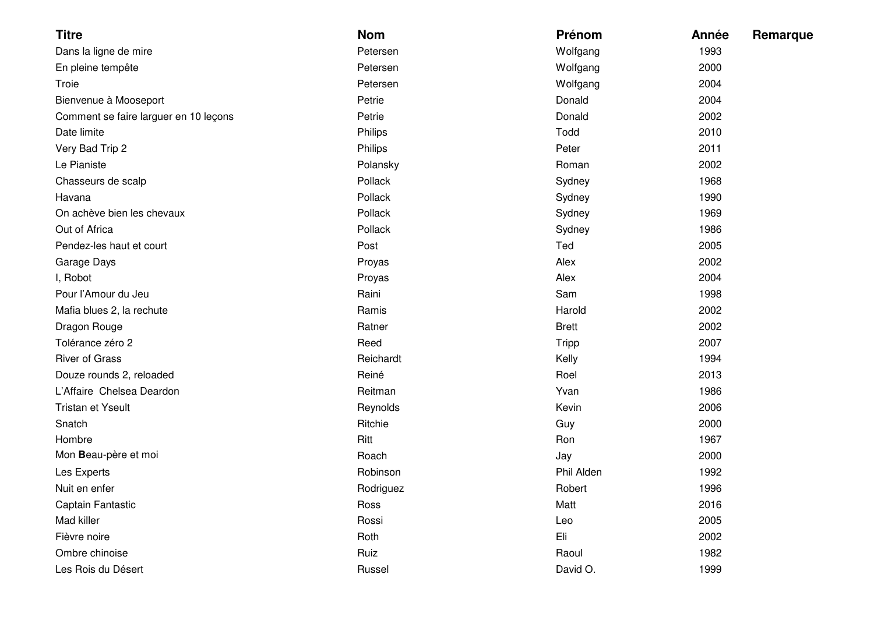| <b>Titre</b>                          | <b>Nom</b> | Prénom       | Année | Remarque |
|---------------------------------------|------------|--------------|-------|----------|
| Dans la ligne de mire                 | Petersen   | Wolfgang     | 1993  |          |
| En pleine tempête                     | Petersen   | Wolfgang     | 2000  |          |
| Troie                                 | Petersen   | Wolfgang     | 2004  |          |
| Bienvenue à Mooseport                 | Petrie     | Donald       | 2004  |          |
| Comment se faire larguer en 10 leçons | Petrie     | Donald       | 2002  |          |
| Date limite                           | Philips    | Todd         | 2010  |          |
| Very Bad Trip 2                       | Philips    | Peter        | 2011  |          |
| Le Pianiste                           | Polansky   | Roman        | 2002  |          |
| Chasseurs de scalp                    | Pollack    | Sydney       | 1968  |          |
| Havana                                | Pollack    | Sydney       | 1990  |          |
| On achève bien les chevaux            | Pollack    | Sydney       | 1969  |          |
| Out of Africa                         | Pollack    | Sydney       | 1986  |          |
| Pendez-les haut et court              | Post       | Ted          | 2005  |          |
| Garage Days                           | Proyas     | Alex         | 2002  |          |
| I, Robot                              | Proyas     | Alex         | 2004  |          |
| Pour l'Amour du Jeu                   | Raini      | Sam          | 1998  |          |
| Mafia blues 2, la rechute             | Ramis      | Harold       | 2002  |          |
| Dragon Rouge                          | Ratner     | <b>Brett</b> | 2002  |          |
| Tolérance zéro 2                      | Reed       | <b>Tripp</b> | 2007  |          |
| <b>River of Grass</b>                 | Reichardt  | Kelly        | 1994  |          |
| Douze rounds 2, reloaded              | Reiné      | Roel         | 2013  |          |
| L'Affaire Chelsea Deardon             | Reitman    | Yvan         | 1986  |          |
| <b>Tristan et Yseult</b>              | Reynolds   | Kevin        | 2006  |          |
| Snatch                                | Ritchie    | Guy          | 2000  |          |
| Hombre                                | Ritt       | Ron          | 1967  |          |
| Mon Beau-père et moi                  | Roach      | Jay          | 2000  |          |
| Les Experts                           | Robinson   | Phil Alden   | 1992  |          |
| Nuit en enfer                         | Rodriguez  | Robert       | 1996  |          |
| Captain Fantastic                     | Ross       | Matt         | 2016  |          |
| Mad killer                            | Rossi      | Leo          | 2005  |          |
| Fièvre noire                          | Roth       | Eli          | 2002  |          |
| Ombre chinoise                        | Ruiz       | Raoul        | 1982  |          |
| Les Rois du Désert                    | Russel     | David O.     | 1999  |          |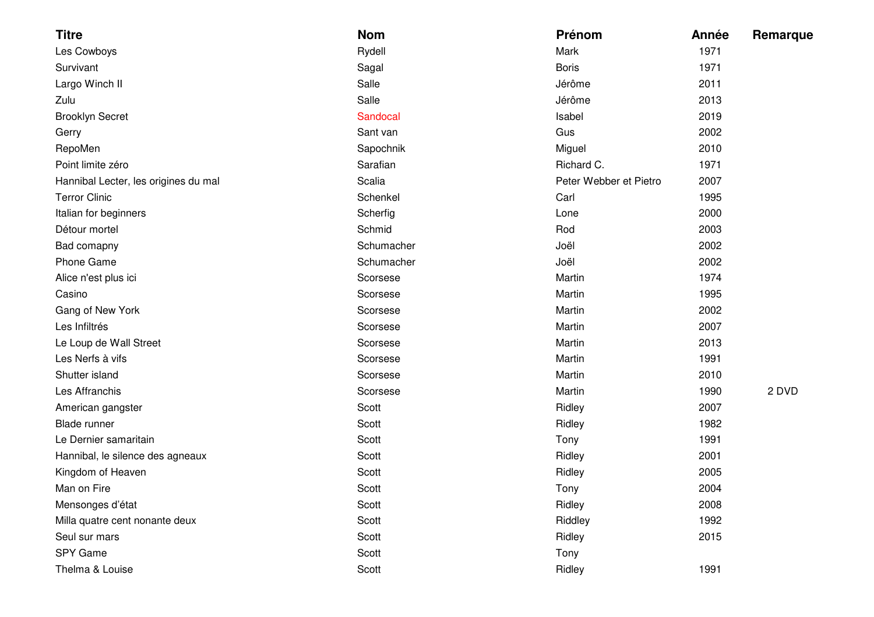| <b>Titre</b>                         | <b>Nom</b> | Prénom                 | Année | Remarque |
|--------------------------------------|------------|------------------------|-------|----------|
| Les Cowboys                          | Rydell     | Mark                   | 1971  |          |
| Survivant                            | Sagal      | <b>Boris</b>           | 1971  |          |
| Largo Winch II                       | Salle      | Jérôme                 | 2011  |          |
| Zulu                                 | Salle      | Jérôme                 | 2013  |          |
| <b>Brooklyn Secret</b>               | Sandocal   | Isabel                 | 2019  |          |
| Gerry                                | Sant van   | Gus                    | 2002  |          |
| RepoMen                              | Sapochnik  | Miguel                 | 2010  |          |
| Point limite zéro                    | Sarafian   | Richard C.             | 1971  |          |
| Hannibal Lecter, les origines du mal | Scalia     | Peter Webber et Pietro | 2007  |          |
| <b>Terror Clinic</b>                 | Schenkel   | Carl                   | 1995  |          |
| Italian for beginners                | Scherfig   | Lone                   | 2000  |          |
| Détour mortel                        | Schmid     | Rod                    | 2003  |          |
| Bad comapny                          | Schumacher | Joël                   | 2002  |          |
| Phone Game                           | Schumacher | Joël                   | 2002  |          |
| Alice n'est plus ici                 | Scorsese   | Martin                 | 1974  |          |
| Casino                               | Scorsese   | Martin                 | 1995  |          |
| Gang of New York                     | Scorsese   | Martin                 | 2002  |          |
| Les Infiltrés                        | Scorsese   | Martin                 | 2007  |          |
| Le Loup de Wall Street               | Scorsese   | Martin                 | 2013  |          |
| Les Nerfs à vifs                     | Scorsese   | Martin                 | 1991  |          |
| Shutter island                       | Scorsese   | Martin                 | 2010  |          |
| Les Affranchis                       | Scorsese   | Martin                 | 1990  | 2 DVD    |
| American gangster                    | Scott      | Ridley                 | 2007  |          |
| Blade runner                         | Scott      | Ridley                 | 1982  |          |
| Le Dernier samaritain                | Scott      | Tony                   | 1991  |          |
| Hannibal, le silence des agneaux     | Scott      | Ridley                 | 2001  |          |
| Kingdom of Heaven                    | Scott      | Ridley                 | 2005  |          |
| Man on Fire                          | Scott      | Tony                   | 2004  |          |
| Mensonges d'état                     | Scott      | Ridley                 | 2008  |          |
| Milla quatre cent nonante deux       | Scott      | Riddley                | 1992  |          |
| Seul sur mars                        | Scott      | Ridley                 | 2015  |          |
| SPY Game                             | Scott      | Tony                   |       |          |
| Thelma & Louise                      | Scott      | Ridley                 | 1991  |          |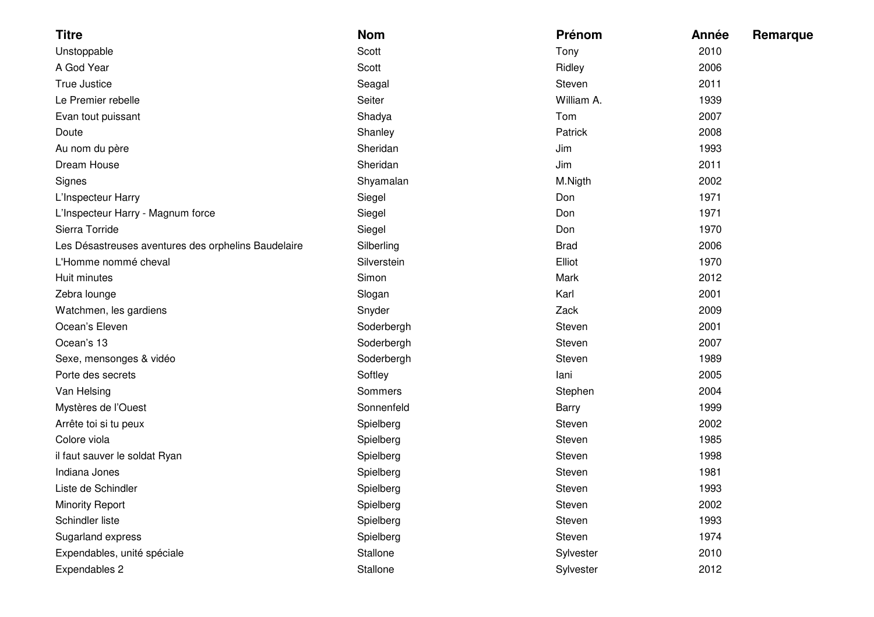| <b>Titre</b>                                        | <b>Nom</b>  | Prénom       | Année | Remarque |
|-----------------------------------------------------|-------------|--------------|-------|----------|
| Unstoppable                                         | Scott       | Tony         | 2010  |          |
| A God Year                                          | Scott       | Ridley       | 2006  |          |
| True Justice                                        | Seagal      | Steven       | 2011  |          |
| Le Premier rebelle                                  | Seiter      | William A.   | 1939  |          |
| Evan tout puissant                                  | Shadya      | Tom          | 2007  |          |
| Doute                                               | Shanley     | Patrick      | 2008  |          |
| Au nom du père                                      | Sheridan    | Jim          | 1993  |          |
| Dream House                                         | Sheridan    | Jim          | 2011  |          |
| Signes                                              | Shyamalan   | M.Nigth      | 2002  |          |
| L'Inspecteur Harry                                  | Siegel      | Don          | 1971  |          |
| L'Inspecteur Harry - Magnum force                   | Siegel      | Don          | 1971  |          |
| Sierra Torride                                      | Siegel      | Don          | 1970  |          |
| Les Désastreuses aventures des orphelins Baudelaire | Silberling  | <b>Brad</b>  | 2006  |          |
| L'Homme nommé cheval                                | Silverstein | Elliot       | 1970  |          |
| Huit minutes                                        | Simon       | Mark         | 2012  |          |
| Zebra lounge                                        | Slogan      | Karl         | 2001  |          |
| Watchmen, les gardiens                              | Snyder      | Zack         | 2009  |          |
| Ocean's Eleven                                      | Soderbergh  | Steven       | 2001  |          |
| Ocean's 13                                          | Soderbergh  | Steven       | 2007  |          |
| Sexe, mensonges & vidéo                             | Soderbergh  | Steven       | 1989  |          |
| Porte des secrets                                   | Softley     | lani         | 2005  |          |
| Van Helsing                                         | Sommers     | Stephen      | 2004  |          |
| Mystères de l'Ouest                                 | Sonnenfeld  | <b>Barry</b> | 1999  |          |
| Arrête toi si tu peux                               | Spielberg   | Steven       | 2002  |          |
| Colore viola                                        | Spielberg   | Steven       | 1985  |          |
| il faut sauver le soldat Ryan                       | Spielberg   | Steven       | 1998  |          |
| Indiana Jones                                       | Spielberg   | Steven       | 1981  |          |
| Liste de Schindler                                  | Spielberg   | Steven       | 1993  |          |
| <b>Minority Report</b>                              | Spielberg   | Steven       | 2002  |          |
| Schindler liste                                     | Spielberg   | Steven       | 1993  |          |
| Sugarland express                                   | Spielberg   | Steven       | 1974  |          |
| Expendables, unité spéciale                         | Stallone    | Sylvester    | 2010  |          |
| Expendables 2                                       | Stallone    | Sylvester    | 2012  |          |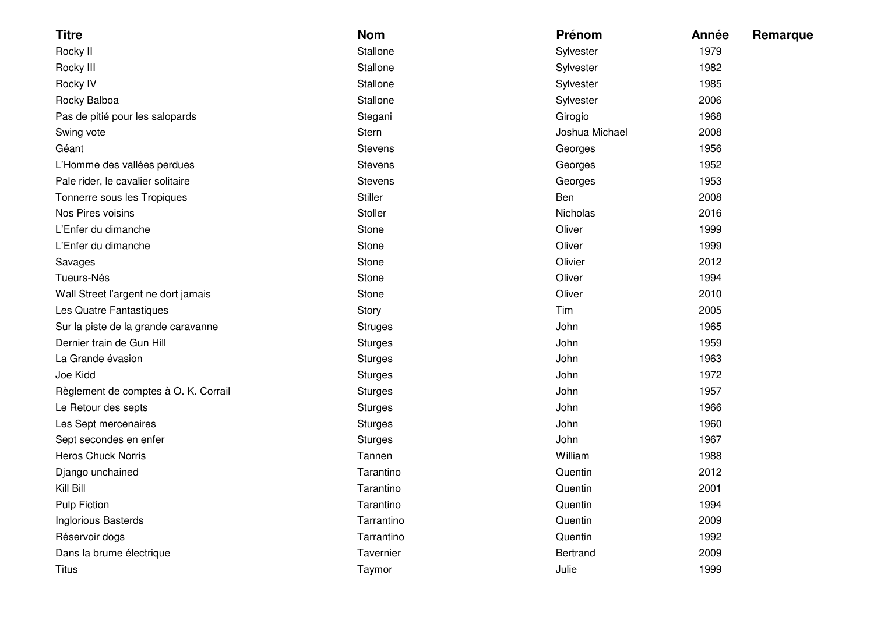| <b>Titre</b>                         | <b>Nom</b>     | Prénom         | Année | Remarque |
|--------------------------------------|----------------|----------------|-------|----------|
| Rocky II                             | Stallone       | Sylvester      | 1979  |          |
| Rocky III                            | Stallone       | Sylvester      | 1982  |          |
| Rocky IV                             | Stallone       | Sylvester      | 1985  |          |
| Rocky Balboa                         | Stallone       | Sylvester      | 2006  |          |
| Pas de pitié pour les salopards      | Stegani        | Girogio        | 1968  |          |
| Swing vote                           | <b>Stern</b>   | Joshua Michael | 2008  |          |
| Géant                                | <b>Stevens</b> | Georges        | 1956  |          |
| L'Homme des vallées perdues          | <b>Stevens</b> | Georges        | 1952  |          |
| Pale rider, le cavalier solitaire    | <b>Stevens</b> | Georges        | 1953  |          |
| Tonnerre sous les Tropiques          | <b>Stiller</b> | Ben            | 2008  |          |
| Nos Pires voisins                    | Stoller        | Nicholas       | 2016  |          |
| L'Enfer du dimanche                  | Stone          | Oliver         | 1999  |          |
| L'Enfer du dimanche                  | Stone          | Oliver         | 1999  |          |
| Savages                              | Stone          | Olivier        | 2012  |          |
| Tueurs-Nés                           | Stone          | Oliver         | 1994  |          |
| Wall Street l'argent ne dort jamais  | Stone          | Oliver         | 2010  |          |
| Les Quatre Fantastiques              | Story          | Tim            | 2005  |          |
| Sur la piste de la grande caravanne  | <b>Struges</b> | John           | 1965  |          |
| Dernier train de Gun Hill            | <b>Sturges</b> | John           | 1959  |          |
| La Grande évasion                    | <b>Sturges</b> | John           | 1963  |          |
| Joe Kidd                             | <b>Sturges</b> | John           | 1972  |          |
| Règlement de comptes à O. K. Corrail | <b>Sturges</b> | John           | 1957  |          |
| Le Retour des septs                  | <b>Sturges</b> | John           | 1966  |          |
| Les Sept mercenaires                 | <b>Sturges</b> | John           | 1960  |          |
| Sept secondes en enfer               | <b>Sturges</b> | John           | 1967  |          |
| <b>Heros Chuck Norris</b>            | Tannen         | William        | 1988  |          |
| Django unchained                     | Tarantino      | Quentin        | 2012  |          |
| Kill Bill                            | Tarantino      | Quentin        | 2001  |          |
| <b>Pulp Fiction</b>                  | Tarantino      | Quentin        | 1994  |          |
| Inglorious Basterds                  | Tarrantino     | Quentin        | 2009  |          |
| Réservoir dogs                       | Tarrantino     | Quentin        | 1992  |          |
| Dans la brume électrique             | Tavernier      | Bertrand       | 2009  |          |
| <b>Titus</b>                         | Taymor         | Julie          | 1999  |          |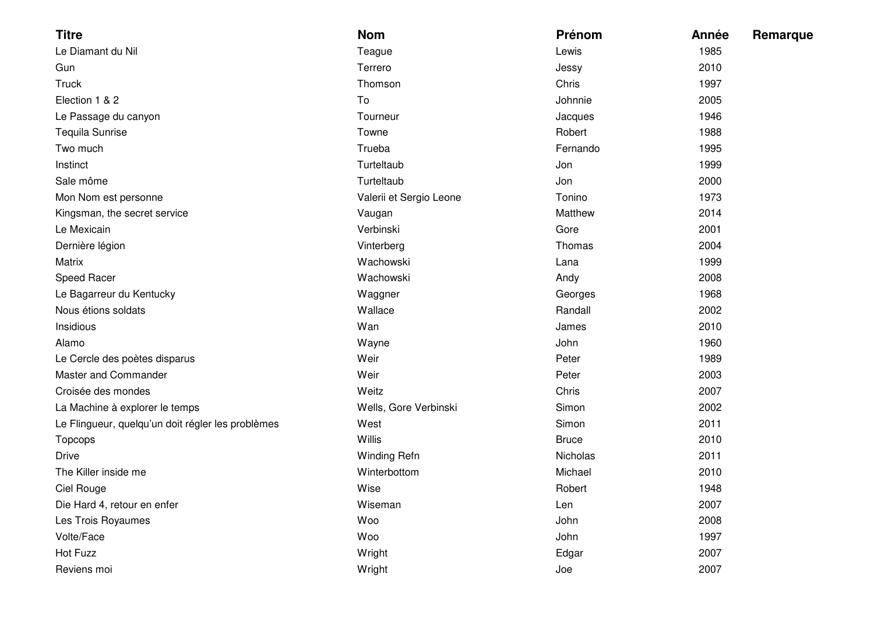| <b>Titre</b>                                      | <b>Nom</b>              | Prénom       | Année | <b>Remarque</b> |
|---------------------------------------------------|-------------------------|--------------|-------|-----------------|
| Le Diamant du Nil                                 | Teague                  | Lewis        | 1985  |                 |
| Gun                                               | Terrero                 | Jessy        | 2010  |                 |
| <b>Truck</b>                                      | Thomson                 | Chris        | 1997  |                 |
| Election 1 & 2                                    | To                      | Johnnie      | 2005  |                 |
| Le Passage du canyon                              | Tourneur                | Jacques      | 1946  |                 |
| Tequila Sunrise                                   | Towne                   | Robert       | 1988  |                 |
| Two much                                          | Trueba                  | Fernando     | 1995  |                 |
| Instinct                                          | Turteltaub              | Jon          | 1999  |                 |
| Sale môme                                         | Turteltaub              | Jon          | 2000  |                 |
| Mon Nom est personne                              | Valerii et Sergio Leone | Tonino       | 1973  |                 |
| Kingsman, the secret service                      | Vaugan                  | Matthew      | 2014  |                 |
| Le Mexicain                                       | Verbinski               | Gore         | 2001  |                 |
| Dernière légion                                   | Vinterberg              | Thomas       | 2004  |                 |
| Matrix                                            | Wachowski               | Lana         | 1999  |                 |
| Speed Racer                                       | Wachowski               | Andy         | 2008  |                 |
| Le Bagarreur du Kentucky                          | Waggner                 | Georges      | 1968  |                 |
| Nous étions soldats                               | Wallace                 | Randall      | 2002  |                 |
| Insidious                                         | Wan                     | James        | 2010  |                 |
| Alamo                                             | Wayne                   | John         | 1960  |                 |
| Le Cercle des poètes disparus                     | Weir                    | Peter        | 1989  |                 |
| Master and Commander                              | Weir                    | Peter        | 2003  |                 |
| Croisée des mondes                                | Weitz                   | Chris        | 2007  |                 |
| La Machine à explorer le temps                    | Wells, Gore Verbinski   | Simon        | 2002  |                 |
| Le Flingueur, quelqu'un doit régler les problèmes | West                    | Simon        | 2011  |                 |
| Topcops                                           | Willis                  | <b>Bruce</b> | 2010  |                 |
| <b>Drive</b>                                      | Winding Refn            | Nicholas     | 2011  |                 |
| The Killer inside me                              | Winterbottom            | Michael      | 2010  |                 |
| Ciel Rouge                                        | Wise                    | Robert       | 1948  |                 |
| Die Hard 4, retour en enfer                       | Wiseman                 | Len          | 2007  |                 |
| Les Trois Royaumes                                | Woo                     | John         | 2008  |                 |
| Volte/Face                                        | Woo                     | John         | 1997  |                 |
| Hot Fuzz                                          | Wright                  | Edgar        | 2007  |                 |
| Reviens moi                                       | Wright                  | Joe          | 2007  |                 |